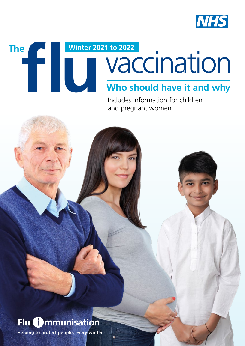

# **Who should have it and why** The **Minter 2021 to 2022**<br> **Minter 2021 to 2022**<br> **Who should have it and why**

Includes information for children and pregnant women



**Helping to protect people, every winter**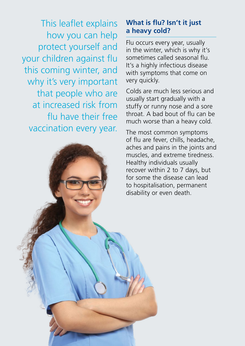This leaflet explains how you can help protect yourself and your children against flu this coming winter, and why it's very important that people who are at increased risk from fu have their free vaccination every year.

## **What is fu? Isn't it just a heavy cold?**

Flu occurs every year, usually in the winter, which is why it's sometimes called seasonal fu. It's a highly infectious disease with symptoms that come on very quickly.

Colds are much less serious and usually start gradually with a stuffy or runny nose and a sore throat. A bad bout of fu can be much worse than a heavy cold.

The most common symptoms of flu are fever, chills, headache. aches and pains in the joints and muscles, and extreme tiredness. Healthy individuals usually recover within 2 to 7 days, but for some the disease can lead to hospitalisation, permanent disability or even death.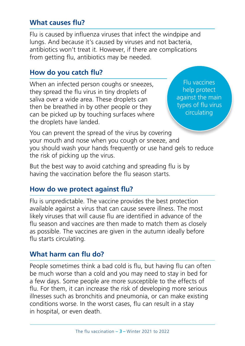## **What causes fu?**

Flu is caused by infuenza viruses that infect the windpipe and lungs. And because it's caused by viruses and not bacteria, antibiotics won't treat it. However, if there are complications from getting flu, antibiotics may be needed.

## **How do you catch fu?**

When an infected person coughs or sneezes, they spread the fu virus in tiny droplets of saliva over a wide area. These droplets can then be breathed in by other people or they can be picked up by touching surfaces where the droplets have landed.

Flu vaccines help protect against the main types of flu virus circulating

You can prevent the spread of the virus by covering your mouth and nose when you cough or sneeze, and you should wash your hands frequently or use hand gels to reduce the risk of picking up the virus.

But the best way to avoid catching and spreading flu is by having the vaccination before the flu season starts.

## **How do we protect against fu?**

Flu is unpredictable. The vaccine provides the best protection available against a virus that can cause severe illness. The most likely viruses that will cause flu are identified in advance of the fu season and vaccines are then made to match them as closely as possible. The vaccines are given in the autumn ideally before flu starts circulating.

#### **What harm can fu do?**

People sometimes think a bad cold is flu, but having flu can often be much worse than a cold and you may need to stay in bed for a few days. Some people are more susceptible to the effects of fu. For them, it can increase the risk of developing more serious illnesses such as bronchitis and pneumonia, or can make existing conditions worse. In the worst cases, fu can result in a stay in hospital, or even death.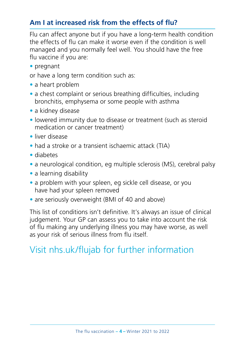## **Am I at increased risk from the effects of fu?**

Flu can affect anyone but if you have a long-term health condition the effects of fu can make it worse even if the condition is well managed and you normally feel well. You should have the free flu vaccine if you are:

• pregnant

or have a long term condition such as:

- a heart problem
- a chest complaint or serious breathing difficulties, including bronchitis, emphysema or some people with asthma
- a kidney disease
- lowered immunity due to disease or treatment (such as steroid medication or cancer treatment)
- liver disease
- had a stroke or a transient ischaemic attack (TIA)
- diabetes
- a neurological condition, eg multiple sclerosis (MS), cerebral palsy
- a learning disability
- a problem with your spleen, eg sickle cell disease, or you have had your spleen removed
- are seriously overweight (BMI of 40 and above)

This list of conditions isn't definitive. It's always an issue of clinical judgement. Your GP can assess you to take into account the risk of fu making any underlying illness you may have worse, as well as your risk of serious illness from fu itself.

## Visit [nhs.uk/fujab](http://nhs.uk/flujab) for further information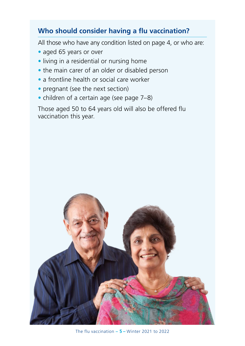## **Who should consider having a fu vaccination?**

All those who have any condition listed on page 4, or who are:

- aged 65 years or over
- living in a residential or nursing home
- the main carer of an older or disabled person
- a frontline health or social care worker
- pregnant (see the next section)
- children of a certain age (see page 7–8)

Those aged 50 to 64 years old will also be offered flu vaccination this year.



The flu vaccination **– 5 –** Winter 2021 to 2022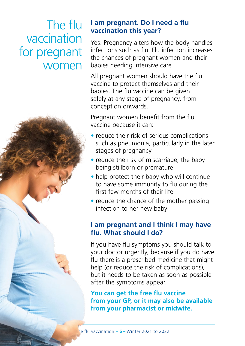# The flu vaccination for pregnant women



## **I am pregnant. Do I need a fu vaccination this year?**

Yes. Pregnancy alters how the body handles infections such as flu. Flu infection increases the chances of pregnant women and their babies needing intensive care.

All pregnant women should have the flu vaccine to protect themselves and their babies. The flu vaccine can be given safely at any stage of pregnancy, from conception onwards.

Pregnant women benefit from the flu vaccine because it can:

- reduce their risk of serious complications such as pneumonia, particularly in the later stages of pregnancy
- reduce the risk of miscarriage, the baby being stillborn or premature
- help protect their baby who will continue to have some immunity to flu during the first few months of their life
- reduce the chance of the mother passing infection to her new baby

## **I am pregnant and I think I may have fu. What should I do?**

If you have flu symptoms you should talk to your doctor urgently, because if you do have fu there is a prescribed medicine that might help (or reduce the risk of complications), but it needs to be taken as soon as possible after the symptoms appear.

**You can get the free flu vaccine from your GP, or it may also be available from your pharmacist or midwife.**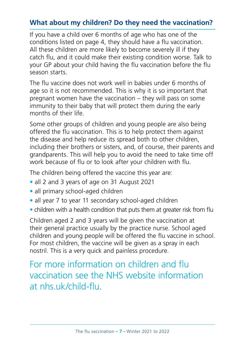## **What about my children? Do they need the vaccination?**

If you have a child over 6 months of age who has one of the conditions listed on page 4, they should have a flu vaccination. All these children are more likely to become severely ill if they catch fu, and it could make their existing condition worse. Talk to your GP about your child having the flu vaccination before the flu season starts.

The fu vaccine does not work well in babies under 6 months of age so it is not recommended. This is why it is so important that pregnant women have the vaccination – they will pass on some immunity to their baby that will protect them during the early months of their life.

Some other groups of children and young people are also being offered the fu vaccination. This is to help protect them against the disease and help reduce its spread both to other children, including their brothers or sisters, and, of course, their parents and grandparents. This will help you to avoid the need to take time off work because of flu or to look after your children with flu.

The children being offered the vaccine this year are:

- all 2 and 3 years of age on 31 August 2021
- all primary school-aged children
- all year 7 to year 11 secondary school-aged children
- children with a health condition that puts them at greater risk from flu

Children aged 2 and 3 years will be given the vaccination at their general practice usually by the practice nurse. School aged children and young people will be offered the fu vaccine in school. For most children, the vaccine will be given as a spray in each nostril. This is a very quick and painless procedure.

## For more information on children and fu vaccination see the NHS website information at [nhs.uk/child-fu.](https://www.nhs.uk/conditions/vaccinations/child-flu-vaccine/)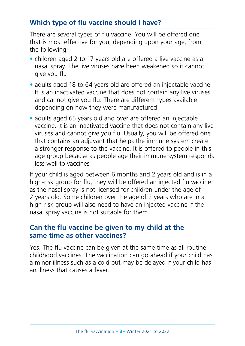## **Which type of fu vaccine should I have?**

There are several types of flu vaccine. You will be offered one that is most effective for you, depending upon your age, from the following:

- children aged 2 to 17 years old are offered a live vaccine as a nasal spray. The live viruses have been weakened so it cannot give you flu
- adults aged 18 to 64 years old are offered an injectable vaccine. It is an inactivated vaccine that does not contain any live viruses and cannot give you flu. There are different types available depending on how they were manufactured
- adults aged 65 years old and over are offered an injectable vaccine. It is an inactivated vaccine that does not contain any live viruses and cannot give you fu. Usually, you will be offered one that contains an adjuvant that helps the immune system create a stronger response to the vaccine. It is offered to people in this age group because as people age their immune system responds less well to vaccines

If your child is aged between 6 months and 2 years old and is in a high-risk group for flu, they will be offered an injected flu vaccine as the nasal spray is not licensed for children under the age of 2 years old. Some children over the age of 2 years who are in a high-risk group will also need to have an injected vaccine if the nasal spray vaccine is not suitable for them.

#### **Can the fu vaccine be given to my child at the same time as other vaccines?**

Yes. The flu vaccine can be given at the same time as all routine childhood vaccines. The vaccination can go ahead if your child has a minor illness such as a cold but may be delayed if your child has an illness that causes a fever.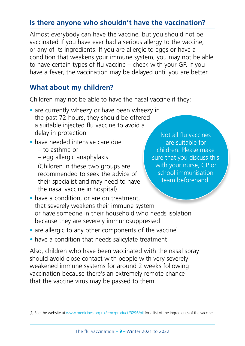## **Is there anyone who shouldn't have the vaccination?**

Almost everybody can have the vaccine, but you should not be vaccinated if you have ever had a serious allergy to the vaccine, or any of its ingredients. If you are allergic to eggs or have a condition that weakens your immune system, you may not be able to have certain types of fu vaccine – check with your GP. If you have a fever, the vaccination may be delayed until you are better.

## **What about my children?**

Children may not be able to have the nasal vaccine if they:

- are currently wheezy or have been wheezy in the past 72 hours, they should be offered a suitable injected flu vaccine to avoid a delay in protection
- have needed intensive care due
	- to asthma or
	- egg allergic anaphylaxis

(Children in these two groups are recommended to seek the advice of their specialist and may need to have the nasal vaccine in hospital)

Not all flu vaccines are suitable for children. Please make sure that you discuss this with your nurse, GP or school immunisation team beforehand.

- have a condition, or are on treatment, that severely weakens their immune system or have someone in their household who needs isolation because they are severely immunosuppressed
- are allergic to any other components of the vaccine<sup>1</sup>
- have a condition that needs salicylate treatment

Also, children who have been vaccinated with the nasal spray should avoid close contact with people with very severely weakened immune systems for around 2 weeks following vaccination because there's an extremely remote chance that the vaccine virus may be passed to them.

<sup>[1]</sup> See the website at [www.medicines.org.uk/emc/product/3296/pil](http://www.medicines.org.uk/emc/product/3296/pil) for a list of the ingredients of the vaccine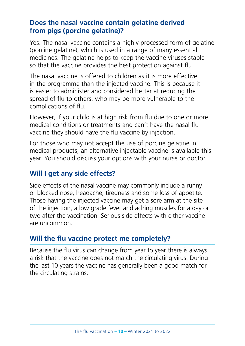## **Does the nasal vaccine contain gelatine derived from pigs (porcine gelatine)?**

Yes. The nasal vaccine contains a highly processed form of gelatine (porcine gelatine), which is used in a range of many essential medicines. The gelatine helps to keep the vaccine viruses stable so that the vaccine provides the best protection against fu.

The nasal vaccine is offered to children as it is more effective in the programme than the injected vaccine. This is because it is easier to administer and considered better at reducing the spread of fu to others, who may be more vulnerable to the complications of fu.

However, if your child is at high risk from fu due to one or more medical conditions or treatments and can't have the nasal fu vaccine they should have the flu vaccine by injection.

For those who may not accept the use of porcine gelatine in medical products, an alternative injectable vaccine is available this year. You should discuss your options with your nurse or doctor.

## **Will I get any side effects?**

Side effects of the nasal vaccine may commonly include a runny or blocked nose, headache, tiredness and some loss of appetite. Those having the injected vaccine may get a sore arm at the site of the injection, a low grade fever and aching muscles for a day or two after the vaccination. Serious side effects with either vaccine are uncommon.

## **Will the fu vaccine protect me completely?**

Because the flu virus can change from year to year there is always a risk that the vaccine does not match the circulating virus. During the last 10 years the vaccine has generally been a good match for the circulating strains.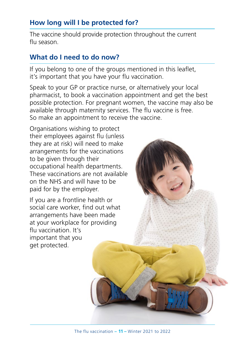## **How long will I be protected for?**

The vaccine should provide protection throughout the current fu season.

## **What do I need to do now?**

If you belong to one of the groups mentioned in this leaflet, it's important that you have your flu vaccination.

Speak to your GP or practice nurse, or alternatively your local pharmacist, to book a vaccination appointment and get the best possible protection. For pregnant women, the vaccine may also be available through maternity services. The flu vaccine is free. So make an appointment to receive the vaccine.

Organisations wishing to protect their employees against flu (unless) they are at risk) will need to make arrangements for the vaccinations to be given through their occupational health departments. These vaccinations are not available on the NHS and will have to be paid for by the employer.

If you are a frontline health or social care worker, find out what arrangements have been made at your workplace for providing fu vaccination. It's important that you get protected.